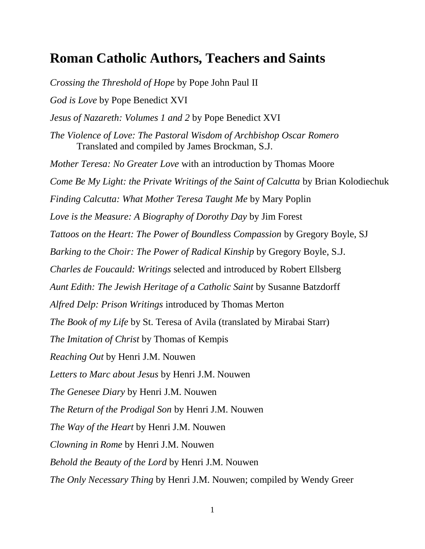## **Roman Catholic Authors, Teachers and Saints**

*Crossing the Threshold of Hope* by Pope John Paul II *God is Love* by Pope Benedict XVI *Jesus of Nazareth: Volumes 1 and 2* by Pope Benedict XVI *The Violence of Love: The Pastoral Wisdom of Archbishop Oscar Romero* Translated and compiled by James Brockman, S.J. *Mother Teresa: No Greater Love* with an introduction by Thomas Moore *Come Be My Light: the Private Writings of the Saint of Calcutta* by Brian Kolodiechuk *Finding Calcutta: What Mother Teresa Taught Me* by Mary Poplin *Love is the Measure: A Biography of Dorothy Day* by Jim Forest *Tattoos on the Heart: The Power of Boundless Compassion* by Gregory Boyle, SJ *Barking to the Choir: The Power of Radical Kinship* by Gregory Boyle, S.J. *Charles de Foucauld: Writings* selected and introduced by Robert Ellsberg *Aunt Edith: The Jewish Heritage of a Catholic Saint* by Susanne Batzdorff *Alfred Delp: Prison Writings* introduced by Thomas Merton *The Book of my Life* by St. Teresa of Avila (translated by Mirabai Starr) *The Imitation of Christ* by Thomas of Kempis *Reaching Out* by Henri J.M. Nouwen *Letters to Marc about Jesus* by Henri J.M. Nouwen *The Genesee Diary* by Henri J.M. Nouwen *The Return of the Prodigal Son* by Henri J.M. Nouwen *The Way of the Heart* by Henri J.M. Nouwen *Clowning in Rome* by Henri J.M. Nouwen *Behold the Beauty of the Lord* by Henri J.M. Nouwen *The Only Necessary Thing* by Henri J.M. Nouwen; compiled by Wendy Greer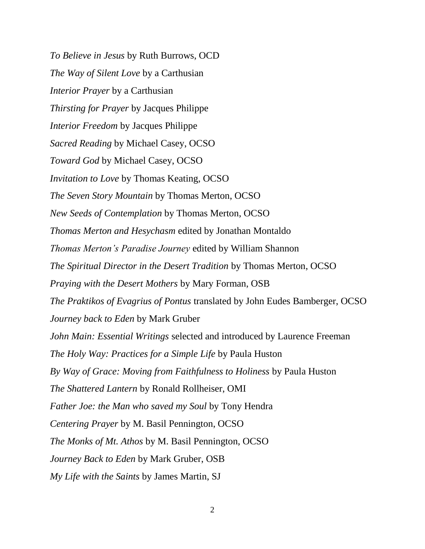*To Believe in Jesus* by Ruth Burrows, OCD *The Way of Silent Love* by a Carthusian *Interior Prayer* by a Carthusian *Thirsting for Prayer* by Jacques Philippe *Interior Freedom* by Jacques Philippe *Sacred Reading* by Michael Casey, OCSO *Toward God* by Michael Casey, OCSO *Invitation to Love* by Thomas Keating, OCSO *The Seven Story Mountain* by Thomas Merton, OCSO *New Seeds of Contemplation* by Thomas Merton, OCSO *Thomas Merton and Hesychasm* edited by Jonathan Montaldo *Thomas Merton's Paradise Journey* edited by William Shannon *The Spiritual Director in the Desert Tradition* by Thomas Merton, OCSO *Praying with the Desert Mothers* by Mary Forman, OSB *The Praktikos of Evagrius of Pontus* translated by John Eudes Bamberger, OCSO *Journey back to Eden* by Mark Gruber *John Main: Essential Writings* selected and introduced by Laurence Freeman *The Holy Way: Practices for a Simple Life* by Paula Huston *By Way of Grace: Moving from Faithfulness to Holiness* by Paula Huston *The Shattered Lantern* by Ronald Rollheiser, OMI *Father Joe: the Man who saved my Soul* by Tony Hendra *Centering Prayer* by M. Basil Pennington, OCSO *The Monks of Mt. Athos* by M. Basil Pennington, OCSO *Journey Back to Eden* by Mark Gruber, OSB *My Life with the Saints* by James Martin, SJ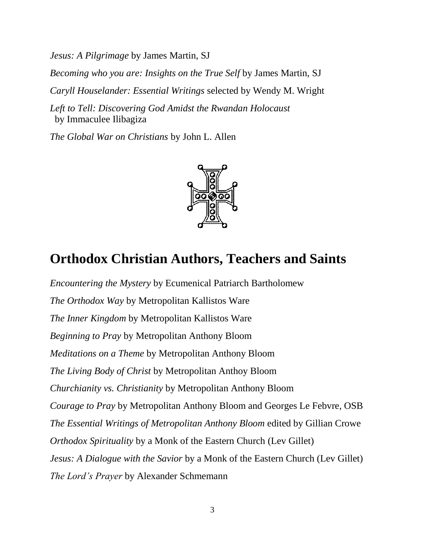*Jesus: A Pilgrimage* by James Martin, SJ

*Becoming who you are: Insights on the True Self* by James Martin, SJ

*Caryll Houselander: Essential Writings* selected by Wendy M. Wright

*Left to Tell: Discovering God Amidst the Rwandan Holocaust*  **by Immaculee Ilibagiza** 

*The Global War on Christians* by John L. Allen



## **Orthodox Christian Authors, Teachers and Saints**

*Encountering the Mystery* by Ecumenical Patriarch Bartholomew *The Orthodox Way* by Metropolitan Kallistos Ware *The Inner Kingdom* by Metropolitan Kallistos Ware *Beginning to Pray* by Metropolitan Anthony Bloom *Meditations on a Theme* by Metropolitan Anthony Bloom *The Living Body of Christ* by Metropolitan Anthoy Bloom *Churchianity vs. Christianity* by Metropolitan Anthony Bloom *Courage to Pray* by Metropolitan Anthony Bloom and Georges Le Febvre, OSB *The Essential Writings of Metropolitan Anthony Bloom* edited by Gillian Crowe *Orthodox Spirituality* by a Monk of the Eastern Church (Lev Gillet) *Jesus: A Dialogue with the Savior* by a Monk of the Eastern Church (Lev Gillet) *The Lord's Prayer* by Alexander Schmemann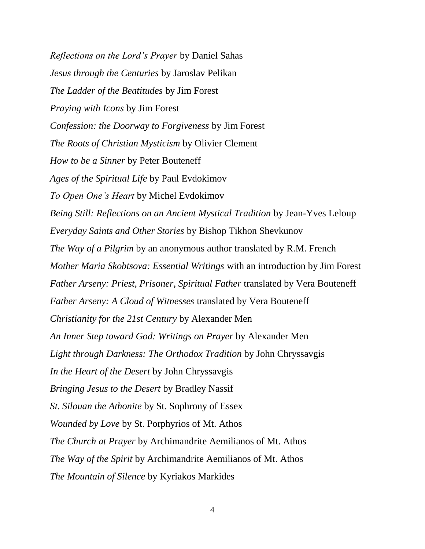*Reflections on the Lord's Prayer* by Daniel Sahas *Jesus through the Centuries* by Jaroslav Pelikan *The Ladder of the Beatitudes* by Jim Forest *Praying with Icons* by Jim Forest *Confession: the Doorway to Forgiveness* by Jim Forest *The Roots of Christian Mysticism* by Olivier Clement *How to be a Sinner* by Peter Bouteneff *Ages of the Spiritual Life* by Paul Evdokimov *To Open One's Heart* by Michel Evdokimov *Being Still: Reflections on an Ancient Mystical Tradition* by Jean-Yves Leloup *Everyday Saints and Other Stories* by Bishop Tikhon Shevkunov *The Way of a Pilgrim* by an anonymous author translated by R.M. French *Mother Maria Skobtsova: Essential Writings* with an introduction by Jim Forest *Father Arseny: Priest, Prisoner, Spiritual Father* translated by Vera Bouteneff *Father Arseny: A Cloud of Witnesses* translated by Vera Bouteneff *Christianity for the 21st Century* by Alexander Men *An Inner Step toward God: Writings on Prayer* by Alexander Men *Light through Darkness: The Orthodox Tradition* by John Chryssavgis *In the Heart of the Desert* by John Chryssavgis *Bringing Jesus to the Desert* by Bradley Nassif *St. Silouan the Athonite* by St. Sophrony of Essex *Wounded by Love* by St. Porphyrios of Mt. Athos *The Church at Prayer* by Archimandrite Aemilianos of Mt. Athos *The Way of the Spirit* by Archimandrite Aemilianos of Mt. Athos *The Mountain of Silence* by Kyriakos Markides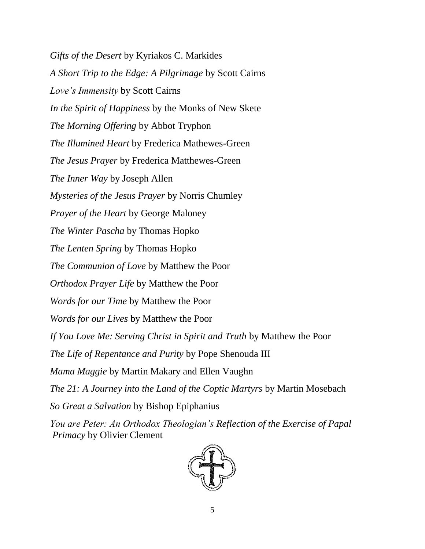*Gifts of the Desert* by Kyriakos C. Markides *A Short Trip to the Edge: A Pilgrimage* by Scott Cairns *Love's Immensity* by Scott Cairns *In the Spirit of Happiness* by the Monks of New Skete *The Morning Offering* by Abbot Tryphon *The Illumined Heart* by Frederica Mathewes-Green *The Jesus Prayer* by Frederica Matthewes-Green *The Inner Way* by Joseph Allen *Mysteries of the Jesus Prayer* by Norris Chumley *Prayer of the Heart* by George Maloney *The Winter Pascha* by Thomas Hopko *The Lenten Spring* by Thomas Hopko *The Communion of Love* by Matthew the Poor *Orthodox Prayer Life* by Matthew the Poor *Words for our Time* by Matthew the Poor *Words for our Lives* by Matthew the Poor *If You Love Me: Serving Christ in Spirit and Truth* by Matthew the Poor *The Life of Repentance and Purity* by Pope Shenouda III *Mama Maggie* by Martin Makary and Ellen Vaughn *The 21: A Journey into the Land of the Coptic Martyrs* by Martin Mosebach *So Great a Salvation* by Bishop Epiphanius

*You are Peter: An Orthodox Theologian's Reflection of the Exercise of Papal Primacy* by Olivier Clement